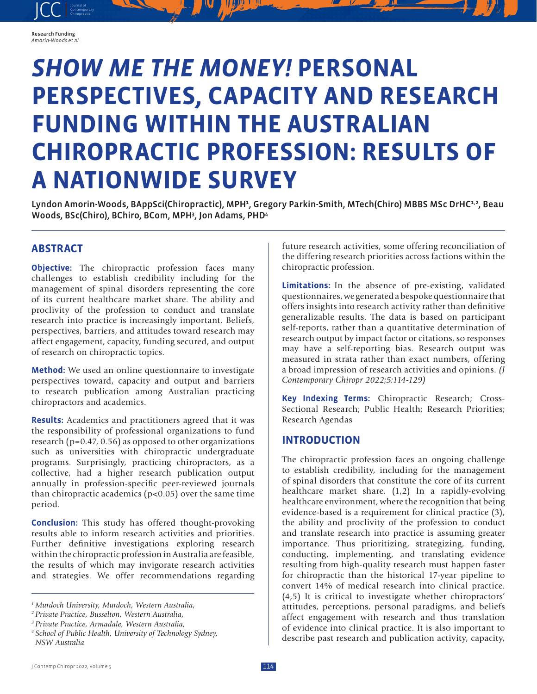

Research Funding *Amorin-Woods et al*

# *SHOW ME THE MONEY!* **PERSONAL PERSPECTIVES, CAPACITY AND RESEARCH FUNDING WITHIN THE AUSTRALIAN CHIROPRACTIC PROFESSION: RESULTS OF A NATIONWIDE SURVEY**

Lyndon Amorin-Woods, BAppSci(Chiropractic), MPH<sup>1</sup>, Gregory Parkin-Smith, MTech(Chiro) MBBS MSc DrHC<sup>1,2</sup>, Beau Woods, BSc(Chiro), BChiro, BCom, MPH<sup>3</sup>, Jon Adams, PHD<sup>4</sup>

# **ABSTRACT**

**Objective:** The chiropractic profession faces many challenges to establish credibility including for the management of spinal disorders representing the core of its current healthcare market share. The ability and proclivity of the profession to conduct and translate research into practice is increasingly important. Beliefs, perspectives, barriers, and attitudes toward research may affect engagement, capacity, funding secured, and output of research on chiropractic topics.

**Method:** We used an online questionnaire to investigate perspectives toward, capacity and output and barriers to research publication among Australian practicing chiropractors and academics.

**Results:** Academics and practitioners agreed that it was the responsibility of professional organizations to fund research (p=0.47, 0.56) as opposed to other organizations such as universities with chiropractic undergraduate programs. Surprisingly, practicing chiropractors, as a collective, had a higher research publication output annually in profession-specific peer-reviewed journals than chiropractic academics (p<0.05) over the same time period.

**Conclusion:** This study has offered thought-provoking results able to inform research activities and priorities. Further definitive investigations exploring research within the chiropractic profession in Australia are feasible, the results of which may invigorate research activities and strategies. We offer recommendations regarding

future research activities, some offering reconciliation of the differing research priorities across factions within the chiropractic profession.

**Limitations:** In the absence of pre-existing, validated questionnaires, we generated a bespoke questionnaire that offers insights into research activity rather than definitive generalizable results. The data is based on participant self-reports, rather than a quantitative determination of research output by impact factor or citations, so responses may have a self-reporting bias. Research output was measured in strata rather than exact numbers, offering a broad impression of research activities and opinions. *(J Contemporary Chiropr 2022;5:114-129)*

**Key Indexing Terms:** Chiropractic Research; Cross-Sectional Research; Public Health; Research Priorities; Research Agendas

# **INTRODUCTION**

The chiropractic profession faces an ongoing challenge to establish credibility, including for the management of spinal disorders that constitute the core of its current healthcare market share. (1,2) In a rapidly-evolving healthcare environment, where the recognition that being evidence-based is a requirement for clinical practice (3), the ability and proclivity of the profession to conduct and translate research into practice is assuming greater importance. Thus prioritizing, strategizing, funding, conducting, implementing, and translating evidence resulting from high-quality research must happen faster for chiropractic than the historical 17-year pipeline to convert 14% of medical research into clinical practice. (4,5) It is critical to investigate whether chiropractors' attitudes, perceptions, personal paradigms, and beliefs affect engagement with research and thus translation of evidence into clinical practice. It is also important to describe past research and publication activity, capacity,

*<sup>1</sup> Murdoch University, Murdoch, Western Australia,*

*<sup>2</sup> Private Practice, Busselton, Western Australia,*

*<sup>3</sup> Private Practice, Armadale, Western Australia,*

*<sup>4</sup> School of Public Health, University of Technology Sydney, NSW Australia*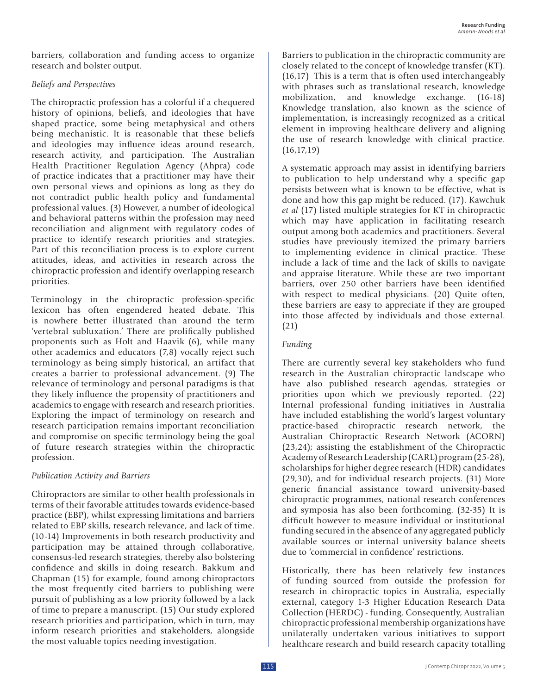barriers, collaboration and funding access to organize research and bolster output.

### *Beliefs and Perspectives*

The chiropractic profession has a colorful if a chequered history of opinions, beliefs, and ideologies that have shaped practice, some being metaphysical and others being mechanistic. It is reasonable that these beliefs and ideologies may influence ideas around research, research activity, and participation. The Australian Health Practitioner Regulation Agency (Ahpra) code of practice indicates that a practitioner may have their own personal views and opinions as long as they do not contradict public health policy and fundamental professional values. (3) However, a number of ideological and behavioral patterns within the profession may need reconciliation and alignment with regulatory codes of practice to identify research priorities and strategies. Part of this reconciliation process is to explore current attitudes, ideas, and activities in research across the chiropractic profession and identify overlapping research priorities.

Terminology in the chiropractic profession-specific lexicon has often engendered heated debate. This is nowhere better illustrated than around the term 'vertebral subluxation.' There are prolifically published proponents such as Holt and Haavik (6), while many other academics and educators (7,8) vocally reject such terminology as being simply historical, an artifact that creates a barrier to professional advancement. (9) The relevance of terminology and personal paradigms is that they likely influence the propensity of practitioners and academics to engage with research and research priorities. Exploring the impact of terminology on research and research participation remains important reconciliation and compromise on specific terminology being the goal of future research strategies within the chiropractic profession.

## *Publication Activity and Barriers*

Chiropractors are similar to other health professionals in terms of their favorable attitudes towards evidence-based practice (EBP), whilst expressing limitations and barriers related to EBP skills, research relevance, and lack of time. (10-14) Improvements in both research productivity and participation may be attained through collaborative, consensus-led research strategies, thereby also bolstering confidence and skills in doing research. Bakkum and Chapman (15) for example, found among chiropractors the most frequently cited barriers to publishing were pursuit of publishing as a low priority followed by a lack of time to prepare a manuscript. (15) Our study explored research priorities and participation, which in turn, may inform research priorities and stakeholders, alongside the most valuable topics needing investigation.

Barriers to publication in the chiropractic community are closely related to the concept of knowledge transfer (KT). (16,17) This is a term that is often used interchangeably with phrases such as translational research, knowledge mobilization, and knowledge exchange. (16-18) Knowledge translation, also known as the science of implementation, is increasingly recognized as a critical element in improving healthcare delivery and aligning the use of research knowledge with clinical practice.  $(16, 17, 19)$ 

A systematic approach may assist in identifying barriers to publication to help understand why a specific gap persists between what is known to be effective, what is done and how this gap might be reduced. (17). Kawchuk *et al* (17) listed multiple strategies for KT in chiropractic which may have application in facilitating research output among both academics and practitioners. Several studies have previously itemized the primary barriers to implementing evidence in clinical practice. These include a lack of time and the lack of skills to navigate and appraise literature. While these are two important barriers, over 250 other barriers have been identified with respect to medical physicians. (20) Quite often, these barriers are easy to appreciate if they are grouped into those affected by individuals and those external. (21)

## *Funding*

There are currently several key stakeholders who fund research in the Australian chiropractic landscape who have also published research agendas, strategies or priorities upon which we previously reported. (22) Internal professional funding initiatives in Australia have included establishing the world's largest voluntary practice-based chiropractic research network, the Australian Chiropractic Research Network (ACORN) (23,24); assisting the establishment of the Chiropractic Academy of Research Leadership (CARL) program (25-28), scholarships for higher degree research (HDR) candidates (29,30), and for individual research projects. (31) More generic financial assistance toward university-based chiropractic programmes, national research conferences and symposia has also been forthcoming. (32-35) It is difficult however to measure individual or institutional funding secured in the absence of any aggregated publicly available sources or internal university balance sheets due to 'commercial in confidence' restrictions.

Historically, there has been relatively few instances of funding sourced from outside the profession for research in chiropractic topics in Australia, especially external, category 1-3 Higher Education Research Data Collection (HERDC) - funding. Consequently, Australian chiropractic professional membership organizations have unilaterally undertaken various initiatives to support healthcare research and build research capacity totalling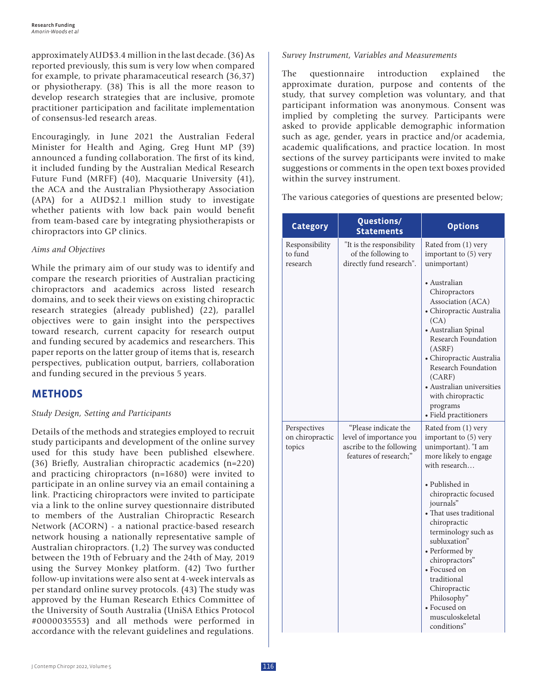approximately AUD\$3.4 million in the last decade. (36) As reported previously, this sum is very low when compared for example, to private pharamaceutical research (36,37) or physiotherapy. (38) This is all the more reason to develop research strategies that are inclusive, promote practitioner participation and facilitate implementation of consensus-led research areas.

Encouragingly, in June 2021 the Australian Federal Minister for Health and Aging, Greg Hunt MP (39) announced a funding collaboration. The first of its kind, it included funding by the Australian Medical Research Future Fund (MRFF) (40), Macquarie University (41), the ACA and the Australian Physiotherapy Association (APA) for a AUD\$2.1 million study to investigate whether patients with low back pain would benefit from team-based care by integrating physiotherapists or chiropractors into GP clinics.

#### *Aims and Objectives*

While the primary aim of our study was to identify and compare the research priorities of Australian practicing chiropractors and academics across listed research domains, and to seek their views on existing chiropractic research strategies (already published) (22), parallel objectives were to gain insight into the perspectives toward research, current capacity for research output and funding secured by academics and researchers. This paper reports on the latter group of items that is, research perspectives, publication output, barriers, collaboration and funding secured in the previous 5 years.

# **METHODS**

#### *Study Design, Setting and Participants*

Details of the methods and strategies employed to recruit study participants and development of the online survey used for this study have been published elsewhere. (36) Briefly, Australian chiropractic academics (n=220) and practicing chiropractors (n=1680) were invited to participate in an online survey via an email containing a link. Practicing chiropractors were invited to participate via a link to the online survey questionnaire distributed to members of the Australian Chiropractic Research Network (ACORN) - a national practice-based research network housing a nationally representative sample of Australian chiropractors. (1,2) The survey was conducted between the 19th of February and the 24th of May, 2019 using the Survey Monkey platform. (42) Two further follow-up invitations were also sent at 4-week intervals as per standard online survey protocols. (43) The study was approved by the Human Research Ethics Committee of the University of South Australia (UniSA Ethics Protocol #0000035553) and all methods were performed in accordance with the relevant guidelines and regulations.

#### *Survey Instrument, Variables and Measurements*

The questionnaire introduction explained the approximate duration, purpose and contents of the study, that survey completion was voluntary, and that participant information was anonymous. Consent was implied by completing the survey. Participants were asked to provide applicable demographic information such as age, gender, years in practice and/or academia, academic qualifications, and practice location. In most sections of the survey participants were invited to make suggestions or comments in the open text boxes provided within the survey instrument.

The various categories of questions are presented below;

| <b>Category</b>                           | Questions/<br><b>Statements</b>                                                                       | <b>Options</b>                                                                                                                                                                                                                                                                                                                                                                                             |
|-------------------------------------------|-------------------------------------------------------------------------------------------------------|------------------------------------------------------------------------------------------------------------------------------------------------------------------------------------------------------------------------------------------------------------------------------------------------------------------------------------------------------------------------------------------------------------|
| Responsibility<br>to fund<br>research     | "It is the responsibility<br>of the following to<br>directly fund research".                          | Rated from (1) very<br>important to (5) very<br>unimportant)                                                                                                                                                                                                                                                                                                                                               |
|                                           |                                                                                                       | • Australian<br>Chiropractors<br>Association (ACA)<br>• Chiropractic Australia<br>(CA)<br>• Australian Spinal<br>Research Foundation<br>(ASRF)<br>• Chiropractic Australia<br>Research Foundation<br>(CARF)<br>• Australian universities<br>with chiropractic<br>programs<br>· Field practitioners                                                                                                         |
| Perspectives<br>on chiropractic<br>topics | "Please indicate the<br>level of importance you<br>ascribe to the following<br>features of research;" | Rated from (1) very<br>important to (5) very<br>unimportant). "I am<br>more likely to engage<br>with research<br>• Published in<br>chiropractic focused<br>journals"<br>• That uses traditional<br>chiropractic<br>terminology such as<br>subluxation"<br>• Performed by<br>chiropractors"<br>• Focused on<br>traditional<br>Chiropractic<br>Philosophy"<br>• Focused on<br>musculoskeletal<br>conditions" |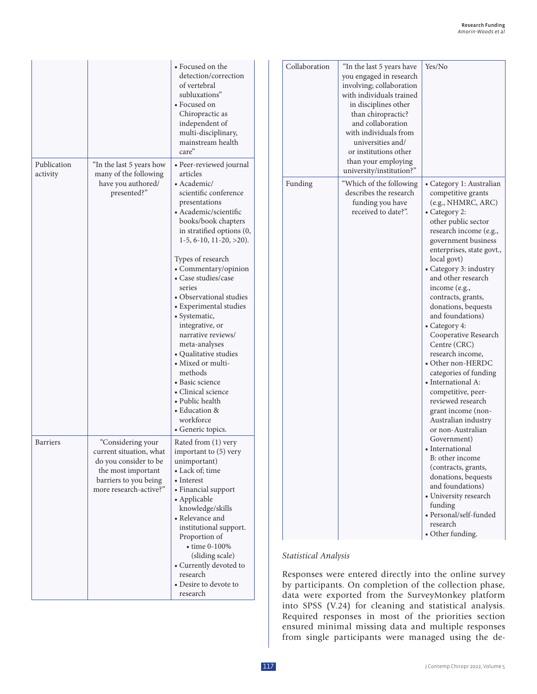|                         |                                                                                                                                                | • Focused on the<br>detection/correction<br>of vertebral<br>subluxations"<br>• Focused on<br>Chiropractic as<br>independent of<br>multi-disciplinary,<br>mainstream health<br>care"                                                                                                                                                                                                                                                                                                                                                                                                           | Collaboration               | "In the last 5 years have<br>you engaged in research<br>involving; collaboration<br>with individuals trained<br>in disciplines other<br>than chiropractic?<br>and collaboration<br>with individuals from<br>universities and/<br>or institutions other | Yes/No                                                                                                                                                                                                                                                                                                                                                                                                                                                                                                                                                                                                    |
|-------------------------|------------------------------------------------------------------------------------------------------------------------------------------------|-----------------------------------------------------------------------------------------------------------------------------------------------------------------------------------------------------------------------------------------------------------------------------------------------------------------------------------------------------------------------------------------------------------------------------------------------------------------------------------------------------------------------------------------------------------------------------------------------|-----------------------------|--------------------------------------------------------------------------------------------------------------------------------------------------------------------------------------------------------------------------------------------------------|-----------------------------------------------------------------------------------------------------------------------------------------------------------------------------------------------------------------------------------------------------------------------------------------------------------------------------------------------------------------------------------------------------------------------------------------------------------------------------------------------------------------------------------------------------------------------------------------------------------|
| Publication<br>activity | "In the last 5 years how<br>many of the following<br>have you authored/<br>presented?"                                                         | · Peer-reviewed journal<br>articles<br>• Academic/<br>scientific conference<br>presentations<br>• Academic/scientific<br>books/book chapters<br>in stratified options (0,<br>$1-5, 6-10, 11-20, >20$ ).<br>Types of research<br>• Commentary/opinion<br>• Case studies/case<br>series<br>• Observational studies<br>• Experimental studies<br>• Systematic,<br>integrative, or<br>narrative reviews/<br>meta-analyses<br>• Qualitative studies<br>• Mixed or multi-<br>methods<br>• Basic science<br>• Clinical science<br>• Public health<br>• Education &<br>workforce<br>• Generic topics. | Funding                     | than your employing<br>university/institution?"<br>"Which of the following<br>describes the research<br>funding you have<br>received to date?".                                                                                                        | • Category 1: Australian<br>competitive grants<br>(e.g., NHMRC, ARC)<br>• Category 2:<br>other public sector<br>research income (e.g.,<br>government business<br>enterprises, state govt.,<br>local govt)<br>• Category 3: industry<br>and other research<br>income (e.g.,<br>contracts, grants,<br>donations, bequests<br>and foundations)<br>• Category 4:<br>Cooperative Research<br>Centre (CRC)<br>research income,<br>• Other non-HERDC<br>categories of funding<br>• International A:<br>competitive, peer-<br>reviewed research<br>grant income (non-<br>Australian industry<br>or non-Australian |
| <b>Barriers</b>         | "Considering your<br>current situation, what<br>do you consider to be<br>the most important<br>barriers to you being<br>more research-active?" | Rated from (1) very<br>important to (5) very<br>unimportant)<br>• Lack of; time<br>• Interest<br>• Financial support<br>• Applicable<br>knowledge/skills<br>• Relevance and<br>institutional support.<br>Proportion of                                                                                                                                                                                                                                                                                                                                                                        |                             |                                                                                                                                                                                                                                                        | Government)<br>• International<br>B: other income<br>(contracts, grants,<br>donations, bequests<br>and foundations)<br>• University research<br>funding<br>· Personal/self-funded<br>research<br>• Other funding.                                                                                                                                                                                                                                                                                                                                                                                         |
|                         |                                                                                                                                                | $\bullet$ time 0-100%<br>(sliding scale)<br>• Currently devoted to                                                                                                                                                                                                                                                                                                                                                                                                                                                                                                                            | <b>Statistical Analysis</b> |                                                                                                                                                                                                                                                        |                                                                                                                                                                                                                                                                                                                                                                                                                                                                                                                                                                                                           |

research • Desire to devote to research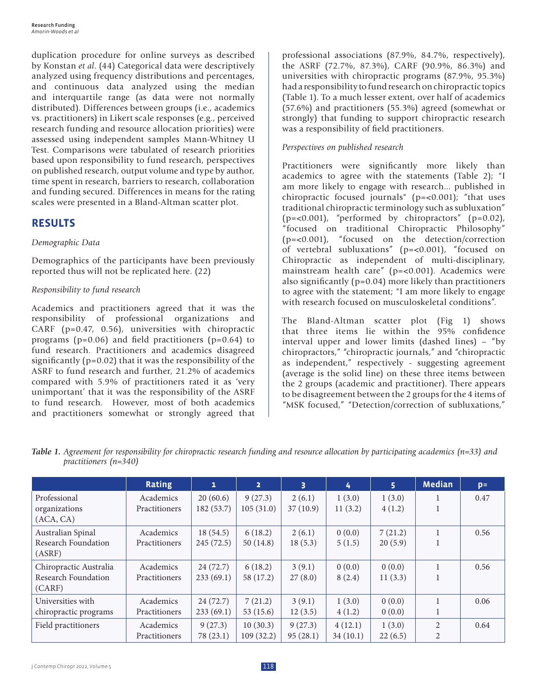duplication procedure for online surveys as described by Konstan *et al*. (44) Categorical data were descriptively analyzed using frequency distributions and percentages, and continuous data analyzed using the median and interquartile range (as data were not normally distributed). Differences between groups (i.e., academics vs. practitioners) in Likert scale responses (e.g., perceived research funding and resource allocation priorities) were assessed using independent samples Mann-Whitney U Test. Comparisons were tabulated of research priorities based upon responsibility to fund research, perspectives on published research, output volume and type by author, time spent in research, barriers to research, collaboration and funding secured. Differences in means for the rating scales were presented in a Bland-Altman scatter plot.

# **RESULTS**

## *Demographic Data*

Demographics of the participants have been previously reported thus will not be replicated here. (22)

# *Responsibility to fund research*

Academics and practitioners agreed that it was the responsibility of professional organizations and CARF (p=0.47, 0.56), universities with chiropractic programs (p=0.06) and field practitioners (p=0.64) to fund research. Practitioners and academics disagreed significantly  $(p=0.02)$  that it was the responsibility of the ASRF to fund research and further, 21.2% of academics compared with 5.9% of practitioners rated it as 'very unimportant' that it was the responsibility of the ASRF to fund research. However, most of both academics and practitioners somewhat or strongly agreed that professional associations (87.9%, 84.7%, respectively), the ASRF (72.7%, 87.3%), CARF (90.9%, 86.3%) and universities with chiropractic programs (87.9%, 95.3%) had a responsibility to fund research on chiropractic topics (Table 1). To a much lesser extent, over half of academics (57.6%) and practitioners (55.3%) agreed (somewhat or strongly) that funding to support chiropractic research was a responsibility of field practitioners.

# *Perspectives on published research*

Practitioners were significantly more likely than academics to agree with the statements (Table 2); "I am more likely to engage with research... published in chiropractic focused journals" (p=<0.001); "that uses traditional chiropractic terminology such as subluxation"  $(p=<0.001)$ , "performed by chiropractors"  $(p=0.02)$ , "focused on traditional Chiropractic Philosophy" (p=<0.001), "focused on the detection/correction of vertebral subluxations" (p=<0.001), "focused on Chiropractic as independent of multi-disciplinary, mainstream health care" (p=<0.001). Academics were also significantly  $(p=0.04)$  more likely than practitioners to agree with the statement; "I am more likely to engage with research focused on musculoskeletal conditions".

The Bland-Altman scatter plot (Fig 1) shows that three items lie within the 95% confidence interval upper and lower limits (dashed lines) – "by chiropractors," "chiropractic journals," and "chiropractic as independent," respectively - suggesting agreement (average is the solid line) on these three items between the 2 groups (academic and practitioner). There appears to be disagreement between the 2 groups for the 4 items of "MSK focused," "Detection/correction of subluxations,"

|                        | <b>Rating</b> | $\mathbf{1}$ | $\overline{2}$ | $\overline{\mathbf{3}}$ | 4        | 5       | <b>Median</b>  | $p=$ |
|------------------------|---------------|--------------|----------------|-------------------------|----------|---------|----------------|------|
| Professional           | Academics     | 20(60.6)     | 9(27.3)        | 2(6.1)                  | 1(3.0)   | 1(3.0)  | 1              | 0.47 |
| organizations          | Practitioners | 182(53.7)    | 105(31.0)      | 37(10.9)                | 11(3.2)  | 4(1.2)  | $\mathbf{1}$   |      |
| (ACA, CA)              |               |              |                |                         |          |         |                |      |
| Australian Spinal      | Academics     | 18(54.5)     | 6(18.2)        | 2(6.1)                  | 0(0.0)   | 7(21.2) | 1              | 0.56 |
| Research Foundation    | Practitioners | 245(72.5)    | 50(14.8)       | 18(5.3)                 | 5(1.5)   | 20(5.9) | 1              |      |
| (ASRF)                 |               |              |                |                         |          |         |                |      |
| Chiropractic Australia | Academics     | 24(72.7)     | 6(18.2)        | 3(9.1)                  | 0(0.0)   | 0(0.0)  | $\mathbf{1}$   | 0.56 |
| Research Foundation    | Practitioners | 233(69.1)    | 58 (17.2)      | 27(8.0)                 | 8(2.4)   | 11(3.3) | 1              |      |
| (CARF)                 |               |              |                |                         |          |         |                |      |
| Universities with      | Academics     | 24(72.7)     | 7(21.2)        | 3(9.1)                  | 1(3.0)   | 0(0.0)  | 1              | 0.06 |
| chiropractic programs  | Practitioners | 233(69.1)    | 53 (15.6)      | 12(3.5)                 | 4(1.2)   | 0(0.0)  | 1              |      |
| Field practitioners    | Academics     | 9(27.3)      | 10(30.3)       | 9(27.3)                 | 4(12.1)  | 1(3.0)  | 2              | 0.64 |
|                        | Practitioners | 78 (23.1)    | 109(32.2)      | 95(28.1)                | 34(10.1) | 22(6.5) | $\overline{2}$ |      |

*Table 1. Agreement for responsibility for chiropractic research funding and resource allocation by participating academics (n=33) and practitioners (n=340)*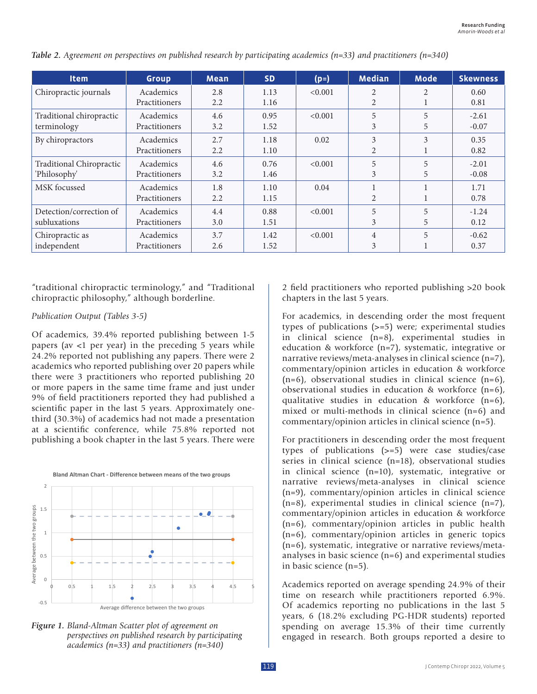| <b>Item</b>                     | <b>Group</b>  | <b>Mean</b> | <b>SD</b> | $(p=)$  | <b>Median</b>  | <b>Mode</b>    | <b>Skewness</b> |
|---------------------------------|---------------|-------------|-----------|---------|----------------|----------------|-----------------|
| Chiropractic journals           | Academics     | 2.8         | 1.13      | < 0.001 | $\mathfrak{D}$ | $\mathfrak{D}$ | 0.60            |
|                                 | Practitioners | 2.2         | 1.16      |         | 2              |                | 0.81            |
| Traditional chiropractic        | Academics     | 4.6         | 0.95      | < 0.001 | 5              | 5              | $-2.61$         |
| terminology                     | Practitioners | 3.2         | 1.52      |         | 3              | 5              | $-0.07$         |
| By chiropractors                | Academics     | 2.7         | 1.18      | 0.02    | 3              | 3              | 0.35            |
|                                 | Practitioners | 2.2         | 1.10      |         | 2              |                | 0.82            |
| <b>Traditional Chiropractic</b> | Academics     | 4.6         | 0.76      | < 0.001 | 5              | 5              | $-2.01$         |
| 'Philosophy'                    | Practitioners | 3.2         | 1.46      |         | 3              | 5              | $-0.08$         |
| MSK focussed                    | Academics     | 1.8         | 1.10      | 0.04    |                |                | 1.71            |
|                                 | Practitioners | 2.2         | 1.15      |         | 2              |                | 0.78            |
| Detection/correction of         | Academics     | 4.4         | 0.88      | < 0.001 | 5              | 5              | $-1.24$         |
| subluxations                    | Practitioners | 3.0         | 1.51      |         | 3              | 5              | 0.12            |
| Chiropractic as                 | Academics     | 3.7         | 1.42      | < 0.001 | $\overline{4}$ | 5              | $-0.62$         |
| independent                     | Practitioners | 2.6         | 1.52      |         | 3              |                | 0.37            |

*Table 2. Agreement on perspectives on published research by participating academics (n=33) and practitioners (n=340)*

"traditional chiropractic terminology," and "Traditional chiropractic philosophy," although borderline.

#### *Publication Output (Tables 3-5)*

Of academics, 39.4% reported publishing between 1-5 papers (av <1 per year) in the preceding 5 years while 24.2% reported not publishing any papers. There were 2 academics who reported publishing over 20 papers while there were 3 practitioners who reported publishing 20 or more papers in the same time frame and just under 9% of field practitioners reported they had published a scientific paper in the last 5 years. Approximately onethird (30.3%) of academics had not made a presentation at a scientific conference, while 75.8% reported not publishing a book chapter in the last 5 years. There were





2 field practitioners who reported publishing >20 book chapters in the last 5 years.

For academics, in descending order the most frequent types of publications (>=5) were; experimental studies in clinical science (n=8), experimental studies in education & workforce (n=7), systematic, integrative or narrative reviews/meta-analyses in clinical science (n=7), commentary/opinion articles in education & workforce  $(n=6)$ , observational studies in clinical science  $(n=6)$ , observational studies in education & workforce (n=6), qualitative studies in education & workforce (n=6), mixed or multi-methods in clinical science (n=6) and commentary/opinion articles in clinical science (n=5).

For practitioners in descending order the most frequent types of publications (>=5) were case studies/case series in clinical science (n=18), observational studies in clinical science (n=10), systematic, integrative or narrative reviews/meta-analyses in clinical science (n=9), commentary/opinion articles in clinical science  $(n=8)$ , experimental studies in clinical science  $(n=7)$ , commentary/opinion articles in education & workforce (n=6), commentary/opinion articles in public health (n=6), commentary/opinion articles in generic topics (n=6), systematic, integrative or narrative reviews/metaanalyses in basic science (n=6) and experimental studies in basic science (n=5).

Academics reported on average spending 24.9% of their time on research while practitioners reported 6.9%. Of academics reporting no publications in the last 5 years, 6 (18.2% excluding PG-HDR students) reported spending on average 15.3% of their time currently engaged in research. Both groups reported a desire to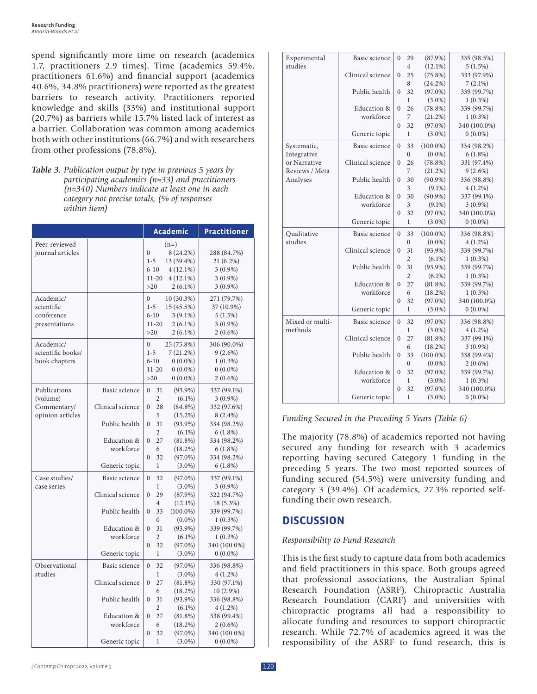spend significantly more time on research (academics 1.7, practitioners 2.9 times). Time (academics 59.4%, practitioners 61.6%) and financial support (academics 40.6%, 34.8% practitioners) were reported as the greatest barriers to research activity. Practitioners reported knowledge and skills (33%) and institutional support (20.7%) as barriers while 15.7% listed lack of interest as a barrier. Collaboration was common among academics both with other institutions (66.7%) and with researchers from other professions (78.8%).

*Table 3. Publication output by type in previous 5 years by participating academics (n=33) and practitioners (n=340) Numbers indicate at least one in each category not precise totals, (% of responses within item)*

|                   |                  |                |                | <b>Academic</b> | <b>Practitioner</b> |
|-------------------|------------------|----------------|----------------|-----------------|---------------------|
| Peer-reviewed     |                  |                |                | $(n=)$          |                     |
| journal articles  |                  | $\mathbf{0}$   |                | 8 (24.2%)       | 288 (84.7%)         |
|                   |                  | $1 - 5$        |                | 13 (39.4%)      | 21 (6.2%)           |
|                   |                  |                | $6 - 10$       | $4(12.1\%)$     | $3(0.9\%)$          |
|                   |                  |                | $11 - 20$      | $4(12.1\%)$     | $3(0.9\%)$          |
|                   |                  | >20            |                | $2(6.1\%)$      | $3(0.9\%)$          |
| Academic/         |                  | $\theta$       |                | 10 (30.3%)      | 271 (79.7%)         |
| scientific        |                  | $1 - 5$        |                | 15 (45.5%)      | 37 (10.9%)          |
| conference        |                  |                | $6 - 10$       | $3(9.1\%)$      | 5(1.5%)             |
| presentations     |                  |                | $11 - 20$      | $2(6.1\%)$      | $3(0.9\%)$          |
|                   |                  | >20            |                | $2(6.1\%)$      | $2(0.6\%)$          |
| Academic/         |                  | $\mathbf{0}$   |                | 25 (75.8%)      | 306 (90.0%)         |
| scientific books/ |                  | $1 - 5$        |                | $7(21.2\%)$     | $9(2.6\%)$          |
| book chapters     |                  |                | $6 - 10$       | $0(0.0\%)$      | $1(0.3\%)$          |
|                   |                  |                | $11 - 20$      | $0(0.0\%)$      | $0(0.0\%)$          |
|                   |                  |                |                |                 |                     |
|                   |                  | $>20$          |                | $0(0.0\%)$      | $2(0.6\%)$          |
| Publications      | Basic science    | $\Omega$       | 31             | $(93.9\%)$      | 337 (99.1%)         |
| (volume)          |                  |                | $\overline{c}$ | $(6.1\%)$       | $3(0.9\%)$          |
| Commentary/       | Clinical science | $\theta$       | 28             | $(84.8\%)$      | 332 (97.6%)         |
| opinion articles  |                  |                | 5              | $(15.2\%)$      | 8 (2.4%)            |
|                   | Public health    | $\theta$       | 31             | $(93.9\%)$      | 334 (98.2%)         |
|                   |                  |                | $\overline{c}$ | $(6.1\%)$       | $6(1.8\%)$          |
|                   | Education &      | $\mathbf{0}$   | 27             | $(81.8\%)$      | 334 (98.2%)         |
|                   | workforce        |                | 6              | $(18.2\%)$      | $6(1.8\%)$          |
|                   |                  | $\theta$       | 32             | $(97.0\%)$      | 334 (98.2%)         |
|                   | Generic topic    |                | $\mathbf{1}$   | $(3.0\%)$       | $6(1.8\%)$          |
| Case studies/     | Basic science    | $\overline{0}$ | 32             | $(97.0\%)$      | 337 (99.1%)         |
| case series       |                  |                | 1              | $(3.0\%)$       | $3(0.9\%)$          |
|                   | Clinical science | $\mathbf{0}$   | 29             | $(87.9\%)$      | 322 (94.7%)         |
|                   |                  |                | 4              | $(12.1\%)$      | 18 (5.3%)           |
|                   | Public health    | $\theta$       | 33             | $(100.0\%)$     | 339 (99.7%)         |
|                   |                  |                | $\overline{0}$ | $(0.0\%)$       | $1(0.3\%)$          |
|                   | Education &      | $\theta$       | 31             | $(93.9\%)$      | 339 (99.7%)         |
|                   | workforce        |                | $\overline{2}$ | $(6.1\%)$       | $1(0.3\%)$          |
|                   |                  | $\theta$       | 32             | $(97.0\%)$      | 340 (100.0%)        |
|                   | Generic topic    |                | $\mathbf{1}$   | $(3.0\%)$       | $0(0.0\%)$          |
| Observational     | Basic science    | $\theta$       | 32             | $(97.0\%)$      | 336 (98.8%)         |
| studies           |                  |                | $\mathbf{1}$   | $(3.0\%)$       | $4(1.2\%)$          |
|                   | Clinical science | $\mathbf{0}$   | 27             | $(81.8\%)$      | 330 (97.1%)         |
|                   |                  |                | 6              | $(18.2\%)$      | $10(2.9\%)$         |
|                   | Public health    | $\mathbf{0}$   | 31             | $(93.9\%)$      | 336 (98.8%)         |
|                   |                  |                | $\overline{2}$ | $(6.1\%)$       | $4(1.2\%)$          |
|                   | Education &      | $\Omega$       | 27             | (81.8%)         | 338 (99.4%)         |
|                   | workforce        |                | 6              | $(18.2\%)$      | $2(0.6\%)$          |
|                   |                  | $\theta$       | 32             | $(97.0\%)$      | 340 (100.0%)        |
|                   | Generic topic    |                | 1              | $(3.0\%)$       | $0(0.0\%)$          |

| Experimental    | Basic science    | $\Omega$       | 29             | $(87.9\%)$  | 335 (98.5%)  |
|-----------------|------------------|----------------|----------------|-------------|--------------|
| studies         |                  |                | 4              | $(12.1\%)$  | 5(1.5%)      |
|                 | Clinical science | $\mathbf{0}$   | 25             | $(75.8\%)$  | 333 (97.9%)  |
|                 |                  |                | 8              | $(24.2\%)$  | $7(2.1\%)$   |
|                 | Public health    | $\overline{0}$ | 32             | $(97.0\%)$  | 339 (99.7%)  |
|                 |                  |                | $\mathbf{1}$   | $(3.0\%)$   | $1(0.3\%)$   |
|                 | Education &      | $\theta$       | 26             | $(78.8\%)$  | 339 (99.7%)  |
|                 | workforce        |                | 7              | $(21.2\%)$  | $1(0.3\%)$   |
|                 |                  | $\Omega$       | 32             | $(97.0\%)$  | 340 (100.0%) |
|                 | Generic topic    |                | 1              | $(3.0\%)$   | $0(0.0\%)$   |
| Systematic,     | Basic science    | $\Omega$       | 33             | $(100.0\%)$ | 334 (98.2%)  |
| Integrative     |                  |                | $\theta$       | $(0.0\%)$   | 6(1.8%)      |
| or Narrative    | Clinical science | $\theta$       | 26             | $(78.8\%)$  | 331 (97.4%)  |
| Reviews / Meta  |                  |                | 7              | $(21.2\%)$  | $9(2.6\%)$   |
| Analyses        | Public health    | $\overline{0}$ | 30             | $(90.9\%)$  | 336 (98.8%)  |
|                 |                  |                | 3              | $(9.1\%)$   | $4(1.2\%)$   |
|                 | Education &      | $\mathbf{0}$   | 30             | $(90.9\%)$  | 337 (99.1%)  |
|                 | workforce        |                | 3              | $(9.1\%)$   | $3(0.9\%)$   |
|                 |                  | $\overline{0}$ | 32             | $(97.0\%)$  | 340 (100.0%) |
|                 | Generic topic    |                | 1              | $(3.0\%)$   | $0(0.0\%)$   |
| Qualitative     | Basic science    | $\Omega$       | 33             | $(100.0\%)$ | 336 (98.8%)  |
| studies         |                  |                | $\overline{0}$ | $(0.0\%)$   | $4(1.2\%)$   |
|                 | Clinical science | $\theta$       | 31             | $(93.9\%)$  | 339 (99.7%)  |
|                 |                  |                | $\overline{2}$ | $(6.1\%)$   | $1(0.3\%)$   |
|                 | Public health    | $\theta$       | 31             | $(93.9\%)$  | 339 (99.7%)  |
|                 |                  |                | $\overline{2}$ | $(6.1\%)$   | $1(0.3\%)$   |
|                 | Education &      | $\theta$       | 27             | $(81.8\%)$  | 339 (99.7%)  |
|                 | workforce        |                | 6              | $(18.2\%)$  | $1(0.3\%)$   |
|                 |                  | $\theta$       | 32             | $(97.0\%)$  | 340 (100.0%) |
|                 | Generic topic    |                | $\mathbf{1}$   | $(3.0\%)$   | $0(0.0\%)$   |
| Mixed or multi- | Basic science    | $\theta$       | 32             | $(97.0\%)$  | 336 (98.8%)  |
| methods         |                  |                | $\mathbf{1}$   | $(3.0\%)$   | $4(1.2\%)$   |
|                 | Clinical science | $\overline{0}$ | 27             | $(81.8\%)$  | 337 (99.1%)  |
|                 |                  |                | 6              | $(18.2\%)$  | $3(0.9\%)$   |
|                 | Public health    | $\mathbf{0}$   | 33             | $(100.0\%)$ | 338 (99.4%)  |
|                 |                  |                | $\overline{0}$ | $(0.0\%)$   | $2(0.6\%)$   |
|                 | Education &      | $\theta$       | 32             | $(97.0\%)$  | 339 (99.7%)  |
|                 |                  |                | $\mathbf{1}$   | $(3.0\%)$   | $1(0.3\%)$   |
|                 | workforce        |                |                |             |              |
|                 |                  | $\Omega$       | 32             | $(97.0\%)$  | 340 (100.0%) |

*Funding Secured in the Preceding 5 Years (Table 6)*

The majority (78.8%) of academics reported not having secured any funding for research with 3 academics reporting having secured Category 1 funding in the preceding 5 years. The two most reported sources of funding secured (54.5%) were university funding and category 3 (39.4%). Of academics, 27.3% reported selffunding their own research.

# **DISCUSSION**

## *Responsibility to Fund Research*

This is the first study to capture data from both academics and field practitioners in this space. Both groups agreed that professional associations, the Australian Spinal Research Foundation (ASRF), Chiropractic Australia Research Foundation (CARF) and universities with chiropractic programs all had a responsibility to allocate funding and resources to support chiropractic research. While 72.7% of academics agreed it was the responsibility of the ASRF to fund research, this is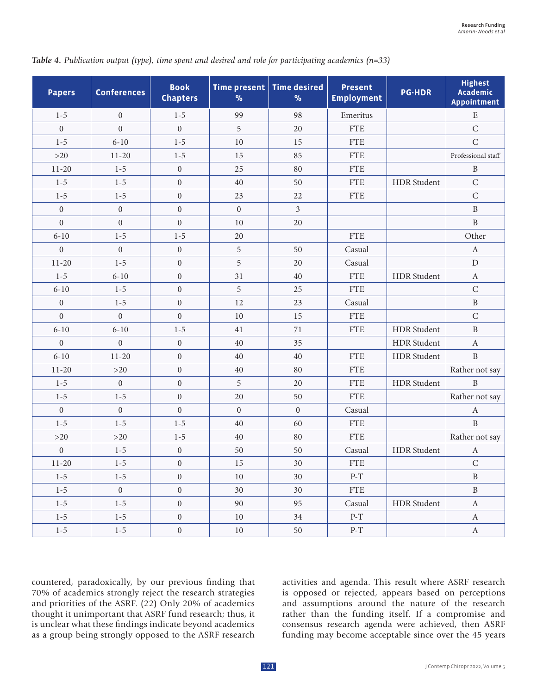| <b>Papers</b>    | <b>Conferences</b> | <b>Book</b><br><b>Chapters</b> | $\%$             | Time present   Time desired<br>$\%$ | <b>Present</b><br><b>Employment</b> | <b>PG-HDR</b>      | <b>Highest</b><br><b>Academic</b><br><b>Appointment</b> |
|------------------|--------------------|--------------------------------|------------------|-------------------------------------|-------------------------------------|--------------------|---------------------------------------------------------|
| $1 - 5$          | $\boldsymbol{0}$   | $1 - 5$                        | 99               | 98                                  | Emeritus                            |                    | $\mathbf E$                                             |
| $\mathbf{0}$     | $\overline{0}$     | $\boldsymbol{0}$               | 5                | 20                                  | <b>FTE</b>                          |                    | $\mathsf{C}$                                            |
| $1 - 5$          | $6 - 10$           | $1 - 5$                        | 10               | 15                                  | <b>FTE</b>                          |                    | $\mathsf C$                                             |
| $>20$            | $11 - 20$          | $1 - 5$                        | 15               | 85                                  | ${\rm FTE}$                         |                    | Professional staff                                      |
| $11 - 20$        | $1-5$              | $\boldsymbol{0}$               | 25               | 80                                  | <b>FTE</b>                          |                    | $\, {\bf B}$                                            |
| $1 - 5$          | $1 - 5$            | $\boldsymbol{0}$               | 40               | 50                                  | <b>FTE</b>                          | <b>HDR</b> Student | $\mathsf{C}$                                            |
| $1 - 5$          | $1 - 5$            | $\boldsymbol{0}$               | 23               | 22                                  | <b>FTE</b>                          |                    | $\mathsf C$                                             |
| $\boldsymbol{0}$ | $\boldsymbol{0}$   | $\boldsymbol{0}$               | $\boldsymbol{0}$ | $\overline{3}$                      |                                     |                    | $\, {\bf B}$                                            |
| $\mathbf{0}$     | $\boldsymbol{0}$   | $\boldsymbol{0}$               | 10               | 20                                  |                                     |                    | $\, {\bf B}$                                            |
| $6 - 10$         | $1 - 5$            | $1 - 5$                        | 20               |                                     | <b>FTE</b>                          |                    | Other                                                   |
| $\mathbf{0}$     | $\overline{0}$     | $\boldsymbol{0}$               | 5                | 50                                  | Casual                              |                    | $\boldsymbol{A}$                                        |
| $11 - 20$        | $1 - 5$            | $\boldsymbol{0}$               | 5                | 20                                  | Casual                              |                    | ${\rm D}$                                               |
| $1 - 5$          | $6 - 10$           | $\overline{0}$                 | 31               | 40                                  | <b>FTE</b>                          | <b>HDR</b> Student | $\boldsymbol{A}$                                        |
| $6 - 10$         | $1 - 5$            | $\overline{0}$                 | 5                | 25                                  | ${\rm FTE}$                         |                    | ${\bf C}$                                               |
| $\boldsymbol{0}$ | $1 - 5$            | $\boldsymbol{0}$               | 12               | 23                                  | Casual                              |                    | $\, {\bf B}$                                            |
| $\mathbf{0}$     | $\boldsymbol{0}$   | $\boldsymbol{0}$               | 10               | 15                                  | <b>FTE</b>                          |                    | $\mathsf{C}$                                            |
| $6 - 10$         | $6 - 10$           | $1 - 5$                        | 41               | 71                                  | <b>FTE</b>                          | <b>HDR</b> Student | $\, {\bf B}$                                            |
| $\mathbf{0}$     | $\overline{0}$     | $\boldsymbol{0}$               | 40               | 35                                  |                                     | HDR Student        | $\boldsymbol{A}$                                        |
| $6 - 10$         | $11 - 20$          | $\boldsymbol{0}$               | 40               | 40                                  | <b>FTE</b>                          | <b>HDR</b> Student | $\, {\bf B}$                                            |
| $11 - 20$        | $>20$              | $\boldsymbol{0}$               | 40               | 80                                  | <b>FTE</b>                          |                    | Rather not say                                          |
| $1 - 5$          | $\boldsymbol{0}$   | $\boldsymbol{0}$               | 5                | 20                                  | <b>FTE</b>                          | <b>HDR</b> Student | B                                                       |
| $1 - 5$          | $1 - 5$            | $\boldsymbol{0}$               | 20               | 50                                  | <b>FTE</b>                          |                    | Rather not say                                          |
| $\boldsymbol{0}$ | $\boldsymbol{0}$   | $\boldsymbol{0}$               | $\boldsymbol{0}$ | $\boldsymbol{0}$                    | Casual                              |                    | $\boldsymbol{A}$                                        |
| $1 - 5$          | $1 - 5$            | $1 - 5$                        | 40               | 60                                  | <b>FTE</b>                          |                    | $\, {\bf B}$                                            |
| $>20$            | $>20$              | $1 - 5$                        | 40               | 80                                  | ${\rm FTE}$                         |                    | Rather not say                                          |
| $\boldsymbol{0}$ | $1 - 5$            | $\boldsymbol{0}$               | 50               | 50                                  | Casual                              | <b>HDR</b> Student | $\boldsymbol{A}$                                        |
| $11 - 20$        | $1 - 5$            | $\boldsymbol{0}$               | 15               | 30                                  | ${\rm FTE}$                         |                    | $\mathsf{C}$                                            |
| $1 - 5$          | $1 - 5$            | $\boldsymbol{0}$               | 10               | 30                                  | $P-T$                               |                    | $\, {\bf B}$                                            |
| $1 - 5$          | $\overline{0}$     | $\boldsymbol{0}$               | 30               | 30                                  | <b>FTE</b>                          |                    | $\, {\bf B}$                                            |
| $1 - 5$          | $1 - 5$            | $\boldsymbol{0}$               | 90               | 95                                  | Casual                              | HDR Student        | $\boldsymbol{A}$                                        |
| $1 - 5$          | $1 - 5$            | $\boldsymbol{0}$               | 10               | 34                                  | $P-T$                               |                    | $\boldsymbol{A}$                                        |
| $1 - 5$          | $1 - 5$            | $\boldsymbol{0}$               | $10\,$           | $50\,$                              | $P-T$                               |                    | $\boldsymbol{A}$                                        |

*Table 4. Publication output (type), time spent and desired and role for participating academics (n=33)*

countered, paradoxically, by our previous finding that 70% of academics strongly reject the research strategies and priorities of the ASRF. (22) Only 20% of academics thought it unimportant that ASRF fund research; thus, it is unclear what these findings indicate beyond academics as a group being strongly opposed to the ASRF research activities and agenda. This result where ASRF research is opposed or rejected, appears based on perceptions and assumptions around the nature of the research rather than the funding itself. If a compromise and consensus research agenda were achieved, then ASRF funding may become acceptable since over the 45 years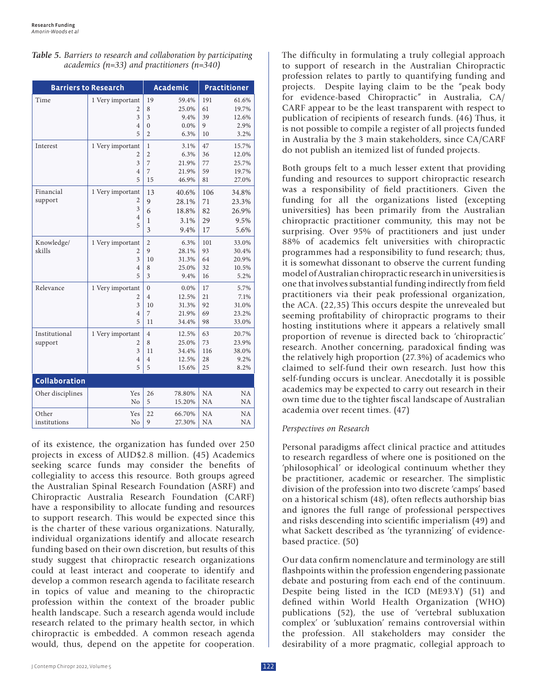|  | Table 5. Barriers to research and collaboration by participating |
|--|------------------------------------------------------------------|
|  | academics ( $n=33$ ) and practitioners ( $n=340$ )               |

|                      | <b>Barriers to Research</b> |                | <b>Academic</b> |           | <b>Practitioner</b> |
|----------------------|-----------------------------|----------------|-----------------|-----------|---------------------|
| Time                 | 1 Very important            | 19             | 59.4%           | 191       | 61.6%               |
|                      | 2                           | 8              | 25.0%           | 61        | 19.7%               |
|                      | 3                           | 3              | 9.4%            | 39        | 12.6%               |
|                      | $\overline{4}$              | $\mathbf{0}$   | $0.0\%$         | 9         | 2.9%                |
|                      | 5                           | $\overline{c}$ | 6.3%            | 10        | 3.2%                |
| Interest             | 1 Very important            | 1              | 3.1%            | 47        | 15.7%               |
|                      | 2                           | $\overline{2}$ | 6.3%            | 36        | 12.0%               |
|                      | 3                           | 7              | 21.9%           | 77        | 25.7%               |
|                      | $\overline{4}$              | 7              | 21.9%           | 59        | 19.7%               |
|                      | 5                           | 15             | 46.9%           | 81        | 27.0%               |
| Financial            | 1 Very important            | 13             | 40.6%           | 106       | 34.8%               |
| support              | 2                           | 9              | 28.1%           | 71        | 23.3%               |
|                      | 3                           | 6              | 18.8%           | 82        | 26.9%               |
|                      | $\overline{4}$              | 1              | 3.1%            | 29        | 9.5%                |
|                      | 5                           | 3              | 9.4%            | 17        | 5.6%                |
| Knowledge/           | 1 Very important            | $\overline{c}$ | 6.3%            | 101       | 33.0%               |
| skills               | 2                           | 9              | 28.1%           | 93        | 30.4%               |
|                      | 3                           | 10             | 31.3%           | 64        | 20.9%               |
|                      | $\overline{4}$              | 8              | 25.0%           | 32        | 10.5%               |
|                      | 5                           | 3              | 9.4%            | 16        | 5.2%                |
| Relevance            | 1 Very important            | $\mathbf{0}$   | $0.0\%$         | 17        | 5.7%                |
|                      | $\overline{2}$              | $\overline{4}$ | 12.5%           | 21        | 7.1%                |
|                      | 3                           | 10             | 31.3%           | 92        | 31.0%               |
|                      | $\overline{4}$              | 7              | 21.9%           | 69        | 23.2%               |
|                      | 5                           | 11             | 34.4%           | 98        | 33.0%               |
| Institutional        | 1 Very important            | $\overline{4}$ | 12.5%           | 63        | 20.7%               |
| support              | $\overline{c}$              | 8              | 25.0%           | 73        | 23.9%               |
|                      | 3                           | 11             | 34.4%           | 116       | 38.0%               |
|                      | $\overline{4}$              | $\overline{4}$ | 12.5%           | 28        | 9.2%                |
|                      | 5                           | 5              | 15.6%           | 25        | 8.2%                |
| <b>Collaboration</b> |                             |                |                 |           |                     |
| Oher disciplines     | Yes                         | 26             | 78.80%          | <b>NA</b> | <b>NA</b>           |
|                      | N <sub>0</sub>              | 5              | 15.20%          | <b>NA</b> | NA                  |
| Other                | Yes                         | 22             | 66.70%          | NA        | NA                  |
| institutions         | No                          | 9              | 27.30%          | NA        | <b>NA</b>           |

of its existence, the organization has funded over 250 projects in excess of AUD\$2.8 million. (45) Academics seeking scarce funds may consider the benefits of collegiality to access this resource. Both groups agreed the Australian Spinal Research Foundation (ASRF) and Chiropractic Australia Research Foundation (CARF) have a responsibility to allocate funding and resources to support research. This would be expected since this is the charter of these various organizations. Naturally, individual organizations identify and allocate research funding based on their own discretion, but results of this study suggest that chiropractic research organizations could at least interact and cooperate to identify and develop a common research agenda to facilitate research in topics of value and meaning to the chiropractic profession within the context of the broader public health landscape. Such a research agenda would include research related to the primary health sector, in which chiropractic is embedded. A common reseach agenda would, thus, depend on the appetite for cooperation.

The difficulty in formulating a truly collegial approach to support of research in the Australian Chiropractic profession relates to partly to quantifying funding and projects. Despite laying claim to be the "peak body for evidence-based Chiropractic" in Australia, CA/ CARF appear to be the least transparent with respect to publication of recipients of research funds. (46) Thus, it is not possible to compile a register of all projects funded in Australia by the 3 main stakeholders, since CA/CARF do not publish an itemized list of funded projects.

Both groups felt to a much lesser extent that providing funding and resources to support chiropractic research was a responsibility of field practitioners. Given the funding for all the organizations listed (excepting universities) has been primarily from the Australian chiropractic practitioner community, this may not be surprising. Over 95% of practitioners and just under 88% of academics felt universities with chiropractic programmes had a responsibility to fund research; thus, it is somewhat dissonant to observe the current funding model of Australian chiropractic research in universities is one that involves substantial funding indirectly from field practitioners via their peak professional organization, the ACA. (22,35) This occurs despite the unrevealed but seeming profitability of chiropractic programs to their hosting institutions where it appears a relatively small proportion of revenue is directed back to 'chiropractic' research. Another concerning, paradoxical finding was the relatively high proportion (27.3%) of academics who claimed to self-fund their own research. Just how this self-funding occurs is unclear. Anecdotally it is possible academics may be expected to carry out research in their own time due to the tighter fiscal landscape of Australian academia over recent times. (47)

#### *Perspectives on Research*

Personal paradigms affect clinical practice and attitudes to research regardless of where one is positioned on the 'philosophical' or ideological continuum whether they be practitioner, academic or researcher. The simplistic division of the profession into two discrete 'camps' based on a historical schism (48), often reflects authorship bias and ignores the full range of professional perspectives and risks descending into scientific imperialism (49) and what Sackett described as 'the tyrannizing' of evidencebased practice. (50)

Our data confirm nomenclature and terminology are still flashpoints within the profession engendering passionate debate and posturing from each end of the continuum. Despite being listed in the ICD (ME93.Y) (51) and defined within World Health Organization (WHO) publications (52), the use of 'vertebral subluxation complex' or 'subluxation' remains controversial within the profession. All stakeholders may consider the desirability of a more pragmatic, collegial approach to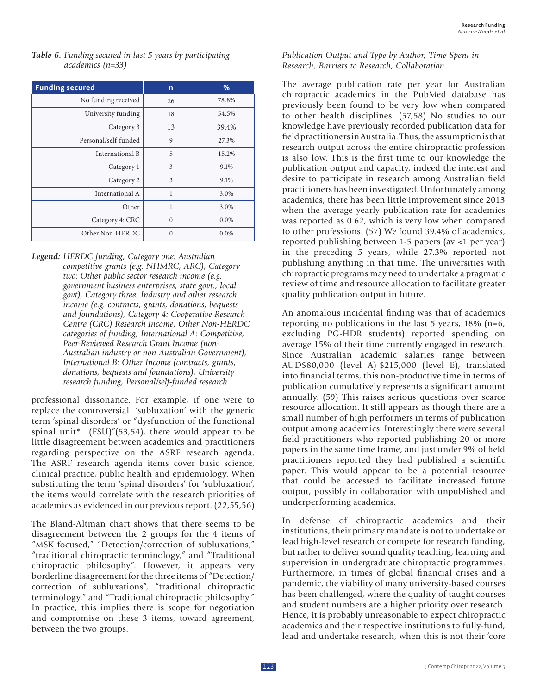| <b>Table 6.</b> Funding secured in last 5 years by participating |
|------------------------------------------------------------------|
| $academics (n=33)$                                               |

| <b>Funding secured</b> | n        | $\%$    |
|------------------------|----------|---------|
| No funding received    | 26       | 78.8%   |
| University funding     | 18       | 54.5%   |
| Category 3             | 13       | 39.4%   |
| Personal/self-funded   | 9        | 27.3%   |
| International B        | 5        | 15.2%   |
| Category 1             | 3        | 9.1%    |
| Category 2             | 3        | 9.1%    |
| International A        | 1        | 3.0%    |
| Other                  | 1        | 3.0%    |
| Category 4: CRC        | $\Omega$ | $0.0\%$ |
| Other Non-HERDC        | $\theta$ | $0.0\%$ |

*Legend: HERDC funding, Category one: Australian competitive grants (e.g. NHMRC, ARC), Category two: Other public sector research income (e.g. government business enterprises, state govt., local govt), Category three: Industry and other research income (e.g. contracts, grants, donations, bequests and foundations), Category 4: Cooperative Research Centre (CRC) Research Income, Other Non-HERDC categories of funding; International A: Competitive, Peer-Reviewed Research Grant Income (non-Australian industry or non-Australian Government), International B: Other Income (contracts, grants, donations, bequests and foundations), University research funding, Personal/self-funded research*

professional dissonance. For example, if one were to replace the controversial 'subluxation' with the generic term 'spinal disorders' or "dysfunction of the functional spinal unit\*  $(FSU)''(53,54)$ , there would appear to be little disagreement between academics and practitioners regarding perspective on the ASRF research agenda. The ASRF research agenda items cover basic science, clinical practice, public health and epidemiology. When substituting the term 'spinal disorders' for 'subluxation', the items would correlate with the research priorities of academics as evidenced in our previous report. (22,55,56)

The Bland-Altman chart shows that there seems to be disagreement between the 2 groups for the 4 items of "MSK focused," "Detection/correction of subluxations," "traditional chiropractic terminology," and "Traditional chiropractic philosophy". However, it appears very borderline disagreement for the three items of "Detection/ correction of subluxations", "traditional chiropractic terminology," and "Traditional chiropractic philosophy." In practice, this implies there is scope for negotiation and compromise on these 3 items, toward agreement, between the two groups.

### *Publication Output and Type by Author, Time Spent in Research, Barriers to Research, Collaboration*

The average publication rate per year for Australian chiropractic academics in the PubMed database has previously been found to be very low when compared to other health disciplines. (57,58) No studies to our knowledge have previously recorded publication data for field practitioners in Australia. Thus, the assumption is that research output across the entire chiropractic profession is also low. This is the first time to our knowledge the publication output and capacity, indeed the interest and desire to participate in research among Australian field practitioners has been investigated. Unfortunately among academics, there has been little improvement since 2013 when the average yearly publication rate for academics was reported as 0.62, which is very low when compared to other professions. (57) We found 39.4% of academics, reported publishing between 1-5 papers (av <1 per year) in the preceding 5 years, while 27.3% reported not publishing anything in that time. The universities with chiropractic programs may need to undertake a pragmatic review of time and resource allocation to facilitate greater quality publication output in future.

An anomalous incidental finding was that of academics reporting no publications in the last 5 years,  $18\%$  (n=6, excluding PG-HDR students) reported spending on average 15% of their time currently engaged in research. Since Australian academic salaries range between AUD\$80,000 (level A)-\$215,000 (level E), translated into financial terms, this non-productive time in terms of publication cumulatively represents a significant amount annually. (59) This raises serious questions over scarce resource allocation. It still appears as though there are a small number of high performers in terms of publication output among academics. Interestingly there were several field practitioners who reported publishing 20 or more papers in the same time frame, and just under 9% of field practitioners reported they had published a scientific paper. This would appear to be a potential resource that could be accessed to facilitate increased future output, possibly in collaboration with unpublished and underperforming academics.

In defense of chiropractic academics and their institutions, their primary mandate is not to undertake or lead high-level research or compete for research funding, but rather to deliver sound quality teaching, learning and supervision in undergraduate chiropractic programmes. Furthermore, in times of global financial crises and a pandemic, the viability of many university-based courses has been challenged, where the quality of taught courses and student numbers are a higher priority over research. Hence, it is probably unreasonable to expect chiropractic academics and their respective institutions to fully-fund, lead and undertake research, when this is not their 'core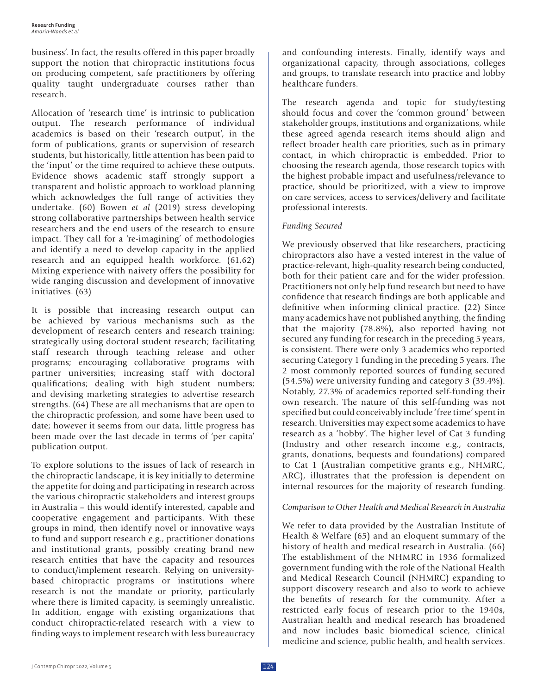business'. In fact, the results offered in this paper broadly support the notion that chiropractic institutions focus on producing competent, safe practitioners by offering quality taught undergraduate courses rather than research.

Allocation of 'research time' is intrinsic to publication output. The research performance of individual academics is based on their 'research output', in the form of publications, grants or supervision of research students, but historically, little attention has been paid to the 'input' or the time required to achieve these outputs. Evidence shows academic staff strongly support a transparent and holistic approach to workload planning which acknowledges the full range of activities they undertake. (60) Bowen *et al* (2019) stress developing strong collaborative partnerships between health service researchers and the end users of the research to ensure impact. They call for a 're-imagining' of methodologies and identify a need to develop capacity in the applied research and an equipped health workforce. (61,62) Mixing experience with naivety offers the possibility for wide ranging discussion and development of innovative initiatives. (63)

It is possible that increasing research output can be achieved by various mechanisms such as the development of research centers and research training; strategically using doctoral student research; facilitating staff research through teaching release and other programs; encouraging collaborative programs with partner universities; increasing staff with doctoral qualifications; dealing with high student numbers; and devising marketing strategies to advertise research strengths. (64) These are all mechanisms that are open to the chiropractic profession, and some have been used to date; however it seems from our data, little progress has been made over the last decade in terms of 'per capita' publication output.

To explore solutions to the issues of lack of research in the chiropractic landscape, it is key initially to determine the appetite for doing and participating in research across the various chiropractic stakeholders and interest groups in Australia – this would identify interested, capable and cooperative engagement and participants. With these groups in mind, then identify novel or innovative ways to fund and support research e.g., practitioner donations and institutional grants, possibly creating brand new research entities that have the capacity and resources to conduct/implement research. Relying on universitybased chiropractic programs or institutions where research is not the mandate or priority, particularly where there is limited capacity, is seemingly unrealistic. In addition, engage with existing organizations that conduct chiropractic-related research with a view to finding ways to implement research with less bureaucracy and confounding interests. Finally, identify ways and organizational capacity, through associations, colleges and groups, to translate research into practice and lobby healthcare funders.

The research agenda and topic for study/testing should focus and cover the 'common ground' between stakeholder groups, institutions and organizations, while these agreed agenda research items should align and reflect broader health care priorities, such as in primary contact, in which chiropractic is embedded. Prior to choosing the research agenda, those research topics with the highest probable impact and usefulness/relevance to practice, should be prioritized, with a view to improve on care services, access to services/delivery and facilitate professional interests.

## *Funding Secured*

We previously observed that like researchers, practicing chiropractors also have a vested interest in the value of practice-relevant, high-quality research being conducted, both for their patient care and for the wider profession. Practitioners not only help fund research but need to have confidence that research findings are both applicable and definitive when informing clinical practice. (22) Since many academics have not published anything, the finding that the majority (78.8%), also reported having not secured any funding for research in the preceding 5 years, is consistent. There were only 3 academics who reported securing Category 1 funding in the preceding 5 years. The 2 most commonly reported sources of funding secured (54.5%) were university funding and category 3 (39.4%). Notably, 27.3% of academics reported self-funding their own research. The nature of this self-funding was not specified but could conceivably include 'free time' spent in research. Universities may expect some academics to have research as a 'hobby'. The higher level of Cat 3 funding (Industry and other research income e.g., contracts, grants, donations, bequests and foundations) compared to Cat 1 (Australian competitive grants e.g., NHMRC, ARC), illustrates that the profession is dependent on internal resources for the majority of research funding.

#### *Comparison to Other Health and Medical Research in Australia*

We refer to data provided by the Australian Institute of Health & Welfare (65) and an eloquent summary of the history of health and medical research in Australia. (66) The establishment of the NHMRC in 1936 formalized government funding with the role of the National Health and Medical Research Council (NHMRC) expanding to support discovery research and also to work to achieve the benefits of research for the community. After a restricted early focus of research prior to the 1940s, Australian health and medical research has broadened and now includes basic biomedical science, clinical medicine and science, public health, and health services.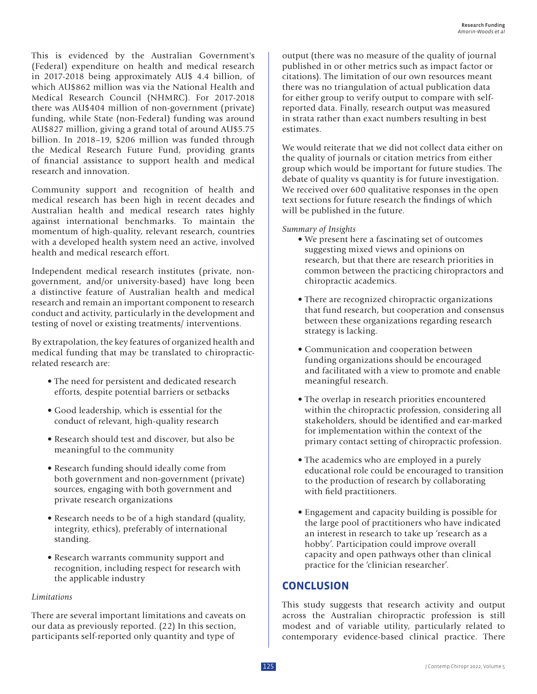This is evidenced by the Australian Government's (Federal) expenditure on health and medical research in 2017-2018 being approximately AU\$ 4.4 billion, of which AU\$862 million was via the National Health and Medical Research Council (NHMRC). For 2017-2018 there was AU\$404 million of non-government (private) funding, while State (non-Federal) funding was around AU\$827 million, giving a grand total of around AU\$5.75 billion. In 2018–19, \$206 million was funded through the Medical Research Future Fund, providing grants of financial assistance to support health and medical research and innovation.

Community support and recognition of health and medical research has been high in recent decades and Australian health and medical research rates highly against international benchmarks. To maintain the momentum of high-quality, relevant research, countries with a developed health system need an active, involved health and medical research effort.

Independent medical research institutes (private, nongovernment, and/or university-based) have long been a distinctive feature of Australian health and medical research and remain an important component to research conduct and activity, particularly in the development and testing of novel or existing treatments/ interventions.

By extrapolation, the key features of organized health and medical funding that may be translated to chiropracticrelated research are:

- The need for persistent and dedicated research efforts, despite potential barriers or setbacks
- Good leadership, which is essential for the conduct of relevant, high-quality research
- Research should test and discover, but also be meaningful to the community
- Research funding should ideally come from both government and non-government (private) sources, engaging with both government and private research organizations
- Research needs to be of a high standard (quality, integrity, ethics), preferably of international standing.
- Research warrants community support and recognition, including respect for research with the applicable industry

### *Limitations*

There are several important limitations and caveats on our data as previously reported. (22) In this section, participants self-reported only quantity and type of

output (there was no measure of the quality of journal published in or other metrics such as impact factor or citations). The limitation of our own resources meant there was no triangulation of actual publication data for either group to verify output to compare with selfreported data. Finally, research output was measured in strata rather than exact numbers resulting in best estimates.

We would reiterate that we did not collect data either on the quality of journals or citation metrics from either group which would be important for future studies. The debate of quality vs quantity is for future investigation. We received over 600 qualitative responses in the open text sections for future research the findings of which will be published in the future.

#### *Summary of Insights*

- We present here a fascinating set of outcomes suggesting mixed views and opinions on research, but that there are research priorities in common between the practicing chiropractors and chiropractic academics.
- There are recognized chiropractic organizations that fund research, but cooperation and consensus between these organizations regarding research strategy is lacking.
- Communication and cooperation between funding organizations should be encouraged and facilitated with a view to promote and enable meaningful research.
- The overlap in research priorities encountered within the chiropractic profession, considering all stakeholders, should be identified and ear-marked for implementation within the context of the primary contact setting of chiropractic profession.
- The academics who are employed in a purely educational role could be encouraged to transition to the production of research by collaborating with field practitioners.
- Engagement and capacity building is possible for the large pool of practitioners who have indicated an interest in research to take up 'research as a hobby'. Participation could improve overall capacity and open pathways other than clinical practice for the 'clinician researcher'.

# **CONCLUSION**

This study suggests that research activity and output across the Australian chiropractic profession is still modest and of variable utility, particularly related to contemporary evidence-based clinical practice. There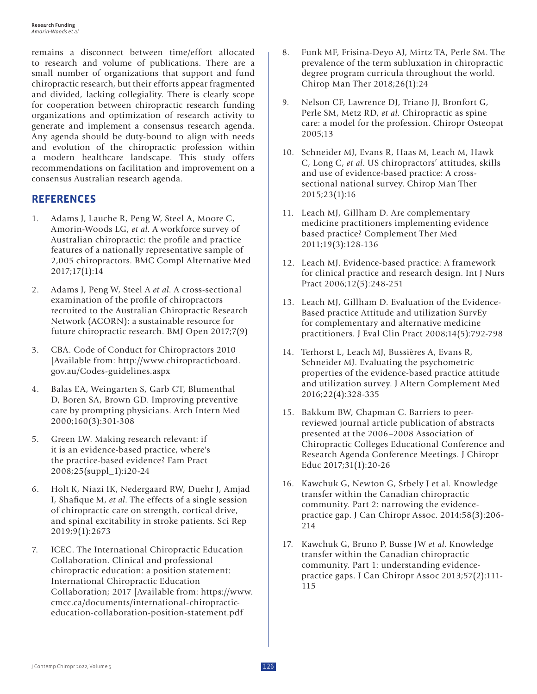remains a disconnect between time/effort allocated to research and volume of publications. There are a small number of organizations that support and fund chiropractic research, but their efforts appear fragmented and divided, lacking collegiality. There is clearly scope for cooperation between chiropractic research funding organizations and optimization of research activity to generate and implement a consensus research agenda. Any agenda should be duty-bound to align with needs and evolution of the chiropractic profession within a modern healthcare landscape. This study offers recommendations on facilitation and improvement on a consensus Australian research agenda.

# **REFERENCES**

- 1. Adams J, Lauche R, Peng W, Steel A, Moore C, Amorin-Woods LG, *et al*. A workforce survey of Australian chiropractic: the profile and practice features of a nationally representative sample of 2,005 chiropractors. BMC Compl Alternative Med 2017;17(1):14
- 2. Adams J, Peng W, Steel A *et al*. A cross-sectional examination of the profile of chiropractors recruited to the Australian Chiropractic Research Network (ACORN): a sustainable resource for future chiropractic research. BMJ Open 2017;7(9)
- 3. CBA. Code of Conduct for Chiropractors 2010 [Available from: http://www.chiropracticboard. gov.au/Codes-guidelines.aspx
- 4. Balas EA, Weingarten S, Garb CT, Blumenthal D, Boren SA, Brown GD. Improving preventive care by prompting physicians. Arch Intern Med 2000;160(3):301-308
- 5. Green LW. Making research relevant: if it is an evidence-based practice, where's the practice-based evidence? Fam Pract 2008;25(suppl\_1):i20-24
- 6. Holt K, Niazi IK, Nedergaard RW, Duehr J, Amjad I, Shafique M, *et al*. The effects of a single session of chiropractic care on strength, cortical drive, and spinal excitability in stroke patients. Sci Rep 2019;9(1):2673
- 7. ICEC. The International Chiropractic Education Collaboration. Clinical and professional chiropractic education: a position statement: International Chiropractic Education Collaboration; 2017 [Available from: https://www. cmcc.ca/documents/international-chiropracticeducation-collaboration-position-statement.pdf
- 8. Funk MF, Frisina-Deyo AJ, Mirtz TA, Perle SM. The prevalence of the term subluxation in chiropractic degree program curricula throughout the world. Chirop Man Ther 2018;26(1):24
- 9. Nelson CF, Lawrence DJ, Triano JJ, Bronfort G, Perle SM, Metz RD, *et al*. Chiropractic as spine care: a model for the profession. Chiropr Osteopat 2005;13
- 10. Schneider MJ, Evans R, Haas M, Leach M, Hawk C, Long C, *et al*. US chiropractors' attitudes, skills and use of evidence-based practice: A crosssectional national survey. Chirop Man Ther 2015;23(1):16
- 11. Leach MJ, Gillham D. Are complementary medicine practitioners implementing evidence based practice? Complement Ther Med 2011;19(3):128-136
- 12. Leach MJ. Evidence-based practice: A framework for clinical practice and research design. Int J Nurs Pract 2006;12(5):248-251
- 13. Leach MJ, Gillham D. Evaluation of the Evidence-Based practice Attitude and utilization SurvEy for complementary and alternative medicine practitioners. J Eval Clin Pract 2008;14(5):792-798
- 14. Terhorst L, Leach MJ, Bussières A, Evans R, Schneider MJ. Evaluating the psychometric properties of the evidence-based practice attitude and utilization survey. J Altern Complement Med 2016;22(4):328-335
- 15. Bakkum BW, Chapman C. Barriers to peerreviewed journal article publication of abstracts presented at the 2006–2008 Association of Chiropractic Colleges Educational Conference and Research Agenda Conference Meetings. J Chiropr Educ 2017;31(1):20-26
- 16. Kawchuk G, Newton G, Srbely J et al. Knowledge transfer within the Canadian chiropractic community. Part 2: narrowing the evidencepractice gap. J Can Chiropr Assoc. 2014;58(3):206- 214
- 17. Kawchuk G, Bruno P, Busse JW *et al*. Knowledge transfer within the Canadian chiropractic community. Part 1: understanding evidencepractice gaps. J Can Chiropr Assoc 2013;57(2):111- 115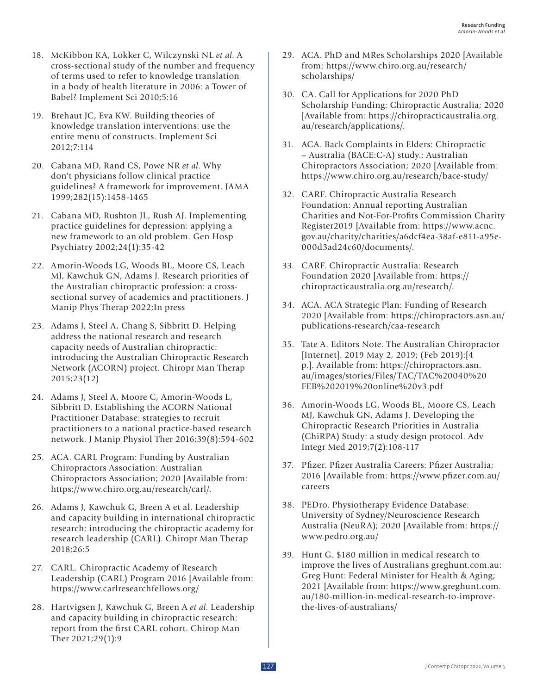- 18. McKibbon KA, Lokker C, Wilczynski NL *et al*. A cross-sectional study of the number and frequency of terms used to refer to knowledge translation in a body of health literature in 2006: a Tower of Babel? Implement Sci 2010;5:16
- 19. Brehaut JC, Eva KW. Building theories of knowledge translation interventions: use the entire menu of constructs. Implement Sci 2012;7:114
- 20. Cabana MD, Rand CS, Powe NR *et al*. Why don't physicians follow clinical practice guidelines? A framework for improvement. JAMA 1999;282(15):1458-1465
- 21. Cabana MD, Rushton JL, Rush AJ. Implementing practice guidelines for depression: applying a new framework to an old problem. Gen Hosp Psychiatry 2002;24(1):35-42
- 22. Amorin-Woods LG, Woods BL, Moore CS, Leach MJ, Kawchuk GN, Adams J. Research priorities of the Australian chiropractic profession: a crosssectional survey of academics and practitioners. J Manip Phys Therap 2022;In press
- 23. Adams J, Steel A, Chang S, Sibbritt D. Helping address the national research and research capacity needs of Australian chiropractic: introducing the Australian Chiropractic Research Network (ACORN) project. Chiropr Man Therap 2015;23(12)
- 24. Adams J, Steel A, Moore C, Amorin-Woods L, Sibbritt D. Establishing the ACORN National Practitioner Database: strategies to recruit practitioners to a national practice-based research network. J Manip Physiol Ther 2016;39(8):594-602
- 25. ACA. CARL Program: Funding by Australian Chiropractors Association: Australian Chiropractors Association; 2020 [Available from: https://www.chiro.org.au/research/carl/.
- 26. Adams J, Kawchuk G, Breen A et al. Leadership and capacity building in international chiropractic research: introducing the chiropractic academy for research leadership (CARL). Chiropr Man Therap 2018;26:5
- 27. CARL. Chiropractic Academy of Research Leadership (CARL) Program 2016 [Available from: https://www.carlresearchfellows.org/
- 28. Hartvigsen J, Kawchuk G, Breen A *et al*. Leadership and capacity building in chiropractic research: report from the first CARL cohort. Chirop Man Ther 2021;29(1):9
- 29. ACA. PhD and MRes Scholarships 2020 [Available from: https://www.chiro.org.au/research/ scholarships/
- 30. CA. Call for Applications for 2020 PhD Scholarship Funding: Chiropractic Australia; 2020 [Available from: https://chiropracticaustralia.org. au/research/applications/.
- 31. ACA. Back Complaints in Elders: Chiropractic – Australia (BACE:C-A) study.: Australian Chiropractors Association; 2020 [Available from: https://www.chiro.org.au/research/bace-study/
- 32. CARF. Chiropractic Australia Research Foundation: Annual reporting Australian Charities and Not-For-Profits Commission Charity Register2019 [Available from: https://www.acnc. gov.au/charity/charities/a6dcf4ea-38af-e811-a95e-000d3ad24c60/documents/.
- 33. CARF. Chiropractic Australia: Research Foundation 2020 [Available from: https:// chiropracticaustralia.org.au/research/.
- 34. ACA. ACA Strategic Plan: Funding of Research 2020 [Available from: https://chiropractors.asn.au/ publications-research/caa-research
- 35. Tate A. Editors Note. The Australian Chiropractor [Internet]. 2019 May 2, 2019; (Feb 2019):[4 p.]. Available from: https://chiropractors.asn. au/images/stories/Files/TAC/TAC%20040%20 FEB%202019%20online%20v3.pdf
- 36. Amorin-Woods LG, Woods BL, Moore CS, Leach MJ, Kawchuk GN, Adams J. Developing the Chiropractic Research Priorities in Australia (ChiRPA) Study: a study design protocol. Adv Integr Med 2019;7(2):108-117
- 37. Pfizer. Pfizer Australia Careers: Pfizer Australia; 2016 [Available from: https://www.pfizer.com.au/ careers
- 38. PEDro. Physiotherapy Evidence Database: University of Sydney/Neuroscience Research Australia (NeuRA); 2020 [Available from: https:// www.pedro.org.au/
- 39. Hunt G. \$180 million in medical research to improve the lives of Australians greghunt.com.au: Greg Hunt: Federal Minister for Health & Aging; 2021 [Available from: https://www.greghunt.com. au/180-million-in-medical-research-to-improvethe-lives-of-australians/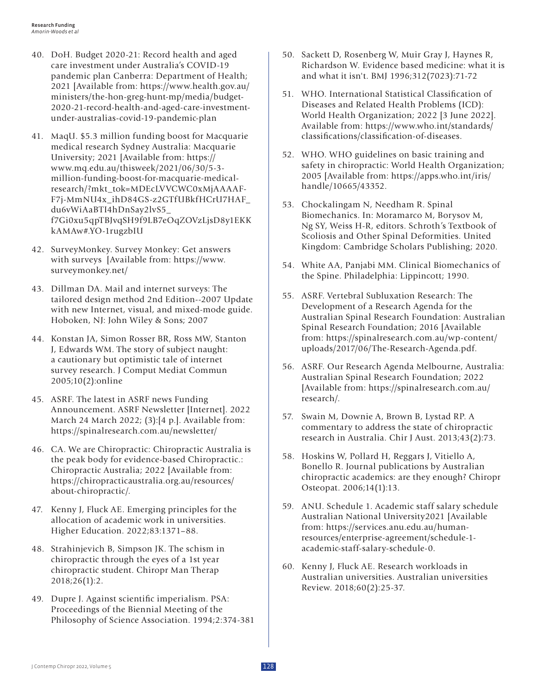- 40. DoH. Budget 2020-21: Record health and aged care investment under Australia's COVID-19 pandemic plan Canberra: Department of Health; 2021 [Available from: https://www.health.gov.au/ ministers/the-hon-greg-hunt-mp/media/budget-2020-21-record-health-and-aged-care-investmentunder-australias-covid-19-pandemic-plan
- 41. MaqU. \$5.3 million funding boost for Macquarie medical research Sydney Australia: Macquarie University; 2021 [Available from: https:// www.mq.edu.au/thisweek/2021/06/30/5-3 million-funding-boost-for-macquarie-medicalresearch/?mkt\_tok=MDEcLVVCWC0xMjAAAAF-F7j-MmNU4x\_ihD84GS-z2GTfUBkfHCrU7HAF\_ du6vWiAaBTI4hDnSay2lvS5\_ f7Gi0xu5qpTBJvqSH9f9LB7eOqZOVzLjsD8y1EKK kAMAw#.YO-1rugzbIU
- 42. SurveyMonkey. Survey Monkey: Get answers with surveys [Available from: https://www. surveymonkey.net/
- 43. Dillman DA. Mail and internet surveys: The tailored design method 2nd Edition--2007 Update with new Internet, visual, and mixed-mode guide. Hoboken, NJ: John Wiley & Sons; 2007
- 44. Konstan JA, Simon Rosser BR, Ross MW, Stanton J, Edwards WM. The story of subject naught: a cautionary but optimistic tale of internet survey research. J Comput Mediat Commun 2005;10(2):online
- 45. ASRF. The latest in ASRF news Funding Announcement. ASRF Newsletter [Internet]. 2022 March 24 March 2022; (3):[4 p.]. Available from: https://spinalresearch.com.au/newsletter/
- 46. CA. We are Chiropractic: Chiropractic Australia is the peak body for evidence-based Chiropractic.: Chiropractic Australia; 2022 [Available from: https://chiropracticaustralia.org.au/resources/ about-chiropractic/.
- 47. Kenny J, Fluck AE. Emerging principles for the allocation of academic work in universities. Higher Education. 2022;83:1371–88.
- 48. Strahinjevich B, Simpson JK. The schism in chiropractic through the eyes of a 1st year chiropractic student. Chiropr Man Therap 2018;26(1):2.
- 49. Dupre J. Against scientific imperialism. PSA: Proceedings of the Biennial Meeting of the Philosophy of Science Association. 1994;2:374-381
- 50. Sackett D, Rosenberg W, Muir Gray J, Haynes R, Richardson W. Evidence based medicine: what it is and what it isn't. BMJ 1996;312(7023):71-72
- 51. WHO. International Statistical Classification of Diseases and Related Health Problems (ICD): World Health Organization; 2022 [3 June 2022]. Available from: https://www.who.int/standards/ classifications/classification-of-diseases.
- 52. WHO. WHO guidelines on basic training and safety in chiropractic: World Health Organization; 2005 [Available from: https://apps.who.int/iris/ handle/10665/43352.
- 53. Chockalingam N, Needham R. Spinal Biomechanics. In: Moramarco M, Borysov M, Ng SY, Weiss H-R, editors. Schroth's Textbook of Scoliosis and Other Spinal Deformities. United Kingdom: Cambridge Scholars Publishing; 2020.
- 54. White AA, Panjabi MM. Clinical Biomechanics of the Spine. Philadelphia: Lippincott; 1990.
- 55. ASRF. Vertebral Subluxation Research: The Development of a Research Agenda for the Australian Spinal Research Foundation: Australian Spinal Research Foundation; 2016 [Available from: https://spinalresearch.com.au/wp-content/ uploads/2017/06/The-Research-Agenda.pdf.
- 56. ASRF. Our Research Agenda Melbourne, Australia: Australian Spinal Research Foundation; 2022 [Available from: https://spinalresearch.com.au/ research/.
- 57. Swain M, Downie A, Brown B, Lystad RP. A commentary to address the state of chiropractic research in Australia. Chir J Aust. 2013;43(2):73.
- 58. Hoskins W, Pollard H, Reggars J, Vitiello A, Bonello R. Journal publications by Australian chiropractic academics: are they enough? Chiropr Osteopat. 2006;14(1):13.
- 59. ANU. Schedule 1. Academic staff salary schedule Australian National University2021 [Available from: https://services.anu.edu.au/humanresources/enterprise-agreement/schedule-1 academic-staff-salary-schedule-0.
- 60. Kenny J, Fluck AE. Research workloads in Australian universities. Australian universities Review. 2018;60(2):25-37.